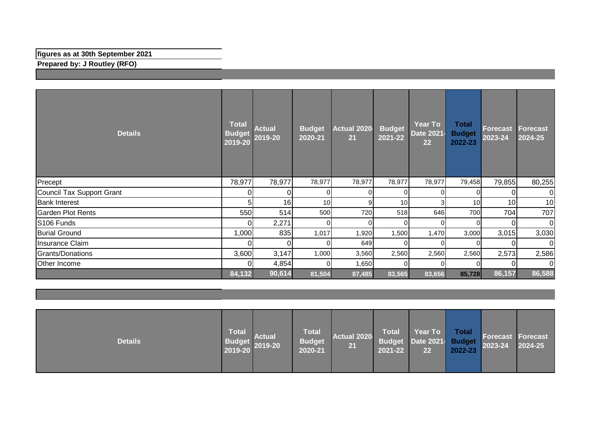## **figures as at 30th September 2021**

**Prepared by: J Routley (RFO)**

| <b>Details</b>            | <b>Total</b><br><b>Budget</b><br>2019-20 | <b>Actual</b><br>2019-20 | <b>Budget</b><br>2020-21 | Actual 2020<br>21 | <b>Budget</b><br>2021-22 | <b>Year To</b><br>Date 2021-<br>22 | <b>Total</b><br><b>Budget</b><br>2022-23 | <b>Forecast</b><br>$2023 - 24$ | Forecast<br>2024-25 |
|---------------------------|------------------------------------------|--------------------------|--------------------------|-------------------|--------------------------|------------------------------------|------------------------------------------|--------------------------------|---------------------|
| Precept                   | 78,977                                   | 78,977                   | 78,977                   | 78,977            | 78,977                   | 78,977                             | 79,458                                   | 79,855                         | 80,255              |
| Council Tax Support Grant |                                          | 0                        | $\Omega$                 | $\Omega$          | 0                        |                                    |                                          |                                | ΩI                  |
| <b>Bank Interest</b>      |                                          | 16                       | 10 <sup>1</sup>          | 9                 | 10 <sup>1</sup>          | 3                                  | 10                                       | 10 <sup>1</sup>                | 10                  |
| <b>Garden Plot Rents</b>  | 550                                      | 514                      | 500                      | 720               | 518                      | 646                                | 700                                      | 704                            | 707                 |
| S106 Funds                |                                          | 2,271                    | $\Omega$                 | $\Omega$          | 0                        | $\Omega$                           |                                          | $\Omega$                       | $\overline{0}$      |
| <b>Burial Ground</b>      | 1,000                                    | 835                      | 1,017                    | 1,920             | 1,500                    | 1,470                              | 3,000                                    | 3,015                          | 3,030               |
| Insurance Claim           |                                          | $\overline{0}$           | $\Omega$                 | 649               | 0                        | 0                                  |                                          | $\Omega$                       | 0I                  |
| Grants/Donations          | 3,600                                    | 3,147                    | 1,000                    | 3,560             | 2,560                    | 2,560                              | 2,560                                    | 2,573                          | 2,586               |
| Other Income              |                                          | 4,854                    | ΩI                       | 1,650             | $\Omega$                 | 0                                  |                                          |                                | ΟI                  |
|                           | 84,132                                   | 90,614                   | 81,504                   | 87,485            | 83,565                   | 83,656                             | 85,728                                   | 86,157                         | 86,588              |

| <b>Details</b> | <b>Total</b><br><b>Budget</b><br>2019-20 | <b>Actual</b><br>$2019 - 20$ | <b>Total</b><br><b>Budget</b><br>2020-21 | Actual 2020<br>21 | <b>Total</b><br>2021-22 | Year To<br>Budget Date 2021- Budget<br>22 | <b>Total</b><br>2022-23 | <b>Forecast Forecast</b><br>2023-24 | 2024-25 |
|----------------|------------------------------------------|------------------------------|------------------------------------------|-------------------|-------------------------|-------------------------------------------|-------------------------|-------------------------------------|---------|
|----------------|------------------------------------------|------------------------------|------------------------------------------|-------------------|-------------------------|-------------------------------------------|-------------------------|-------------------------------------|---------|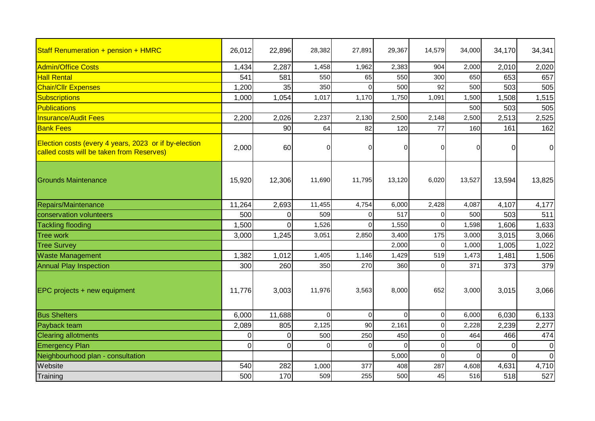| Staff Renumeration + pension + HMRC                                                                | 26,012   | 22,896   | 28,382   | 27,891   | 29,367   | 14,579         | 34,000   | 34,170   | 34,341         |
|----------------------------------------------------------------------------------------------------|----------|----------|----------|----------|----------|----------------|----------|----------|----------------|
| <b>Admin/Office Costs</b>                                                                          | 1,434    | 2,287    | 1,458    | 1,962    | 2,383    | 904            | 2,000    | 2,010    | 2,020          |
| <b>Hall Rental</b>                                                                                 | 541      | 581      | 550      | 65       | 550      | 300            | 650      | 653      | 657            |
| <b>Chair/Cllr Expenses</b>                                                                         | 1,200    | 35       | 350      |          | 500      | 92             | 500      | 503      | 505            |
| Subscriptions                                                                                      | 1,000    | 1,054    | 1,017    | 1,170    | 1,750    | 1,091          | 1,500    | 1,508    | 1,515          |
| Publications                                                                                       |          |          |          |          |          |                | 500      | 503      | 505            |
| <b>Insurance/Audit Fees</b>                                                                        | 2,200    | 2,026    | 2,237    | 2,130    | 2,500    | 2,148          | 2,500    | 2,513    | 2,525          |
| <b>Bank Fees</b>                                                                                   |          | 90       | 64       | 82       | 120      | 77             | 160      | 161      | 162            |
| Election costs (every 4 years, 2023 or if by-election<br>called costs will be taken from Reserves) | 2,000    | 60       | 0        |          | 0        | $\overline{0}$ | O        | 0        | $\overline{0}$ |
| <b>Grounds Maintenance</b>                                                                         | 15,920   | 12,306   | 11,690   | 11,795   | 13,120   | 6,020          | 13,527   | 13,594   | 13,825         |
| Repairs/Maintenance                                                                                | 11,264   | 2,693    | 11,455   | 4,754    | 6,000    | 2,428          | 4,087    | 4,107    | 4,177          |
| conservation volunteers                                                                            | 500      | 0        | 509      | $\Omega$ | 517      | $\mathbf 0$    | 500      | 503      | 511            |
| <b>Tackling flooding</b>                                                                           | 1,500    | $\Omega$ | 1,526    | $\Omega$ | 1,550    | $\mathbf 0$    | 1,598    | 1,606    | 1,633          |
| <b>Tree work</b>                                                                                   | 3,000    | 1,245    | 3,051    | 2,850    | 3,400    | 175            | 3,000    | 3,015    | 3,066          |
| <b>Tree Survey</b>                                                                                 |          |          |          |          | 2,000    | $\mathbf 0$    | 1,000    | 1,005    | 1,022          |
| <b>Waste Management</b>                                                                            | 1,382    | 1,012    | 1,405    | 1,146    | 1,429    | 519            | 1,473    | 1,481    | 1,506          |
| <b>Annual Play Inspection</b>                                                                      | 300      | 260      | 350      | 270      | 360      | $\mathbf 0$    | 371      | 373      | 379            |
| EPC projects + new equipment                                                                       | 11,776   | 3,003    | 11,976   | 3,563    | 8,000    | 652            | 3,000    | 3,015    | 3,066          |
| <b>Bus Shelters</b>                                                                                | 6,000    | 11,688   | $\Omega$ | $\Omega$ | $\Omega$ | $\overline{0}$ | 6,000    | 6,030    | 6,133          |
| Payback team                                                                                       | 2,089    | 805      | 2,125    | 90       | 2,161    | $\mathbf 0$    | 2,228    | 2,239    | 2,277          |
| <b>Clearing allotments</b>                                                                         | $\Omega$ | $\Omega$ | 500      | 250      | 450      | $\Omega$       | 464      | 466      | 474            |
| <b>Emergency Plan</b>                                                                              | $\Omega$ | 0        | 0        | 0        | $\Omega$ | $\Omega$       | $\Omega$ | $\Omega$ | $\overline{0}$ |
| Neighbourhood plan - consultation                                                                  |          |          |          |          | 5,000    | $\Omega$       | $\Omega$ | $\Omega$ | $\overline{0}$ |
| Website                                                                                            | 540      | 282      | 1,000    | 377      | 408      | 287            | 4,608    | 4,631    | 4,710          |
| Training                                                                                           | 500      | 170      | 509      | 255      | 500      | 45             | 516      | 518      | 527            |